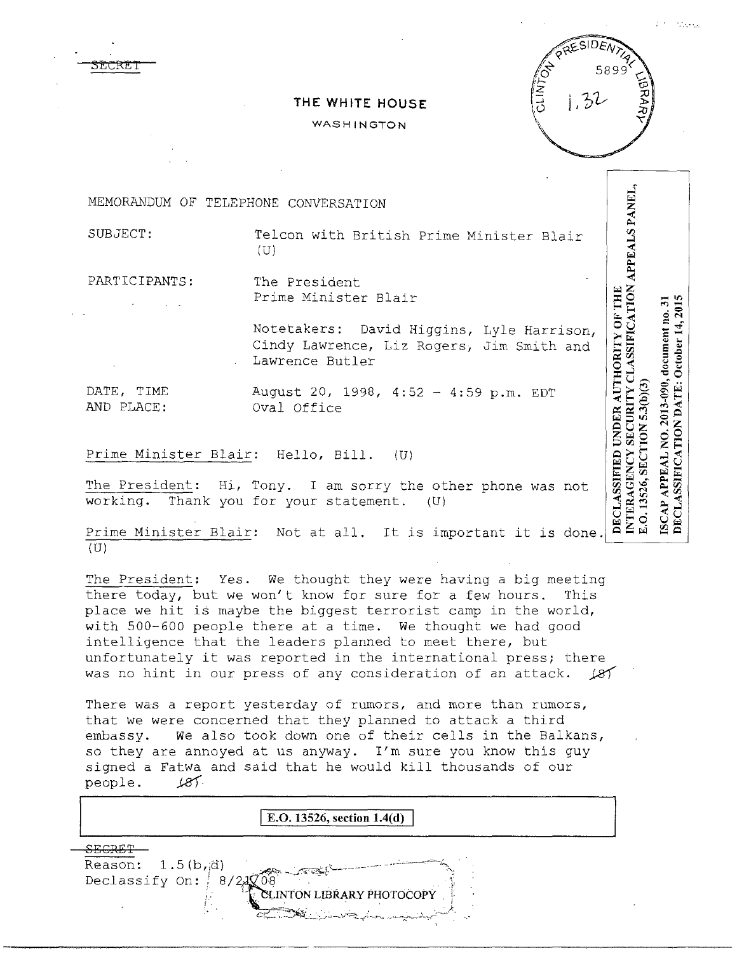## $1,32$

**Stationary** 

## **THE WHITE HOUSE**

## WASHINGTON

INTERAGENCY SECURITY CLASSIFICATION APPEALS PANEL,<br>E.O. 13526, SECTION 5.3(b)(3) MEMORANDUM OF TELEPHONE CONVERSATION SUBJECT: Telcon with British Prime Minister Blair (U) PARTICIPANTS: The President Prime Minister Blair DECLASSIFICATION DATE: October 14, 2015 SCAP APPEAL NO. 2013-090, document no. 31 Notetakers: David Higgins, Lyle Harrison, Cindy Lawrence, Liz Rogers, Jim Smith and Lawrence Butler DATE, TIME August 20, 1998, 4:52 - 4:59 p.m. EDT AND PLACE: Oval Office Prime Minister Blair; Hello, Bill. (U) The President: Hi, Tony. I am sorry the other phone was not working. Thank you for your statement. (U) Prime Minister Blair: Not at all. It is important it is done. **BEG MB** 

The President: Yes. We thought they were having a big meeting there today, but we won't know for sure for a few hours. This place we hit is maybe the biggest terrorist camp in the world, with 500-600 people there at a time. We thought we had good intelligence that the leaders planned to meet there, but unfortunately it was reported in the international press; there

was no hint in our press of any consideration of an attack.  $\cancel{81}$ 

There was a report yesterday of rumors, and more than rumors, that we were concerned that they planned to attack a third embassy. We also took down one of their cells in the Balkans, so they are annoyed at us anyway. I'm sure you know this guy signed a Fatwa and said that he would kill thousands of our people. *J.81.*  $187.$ 

**E.O. 13526, section 1.4(d)** SECRET Reason:  $1.5(b,d)$ Declassify On:  $R/2$ INTON LIBRARY PHOTOCOPY.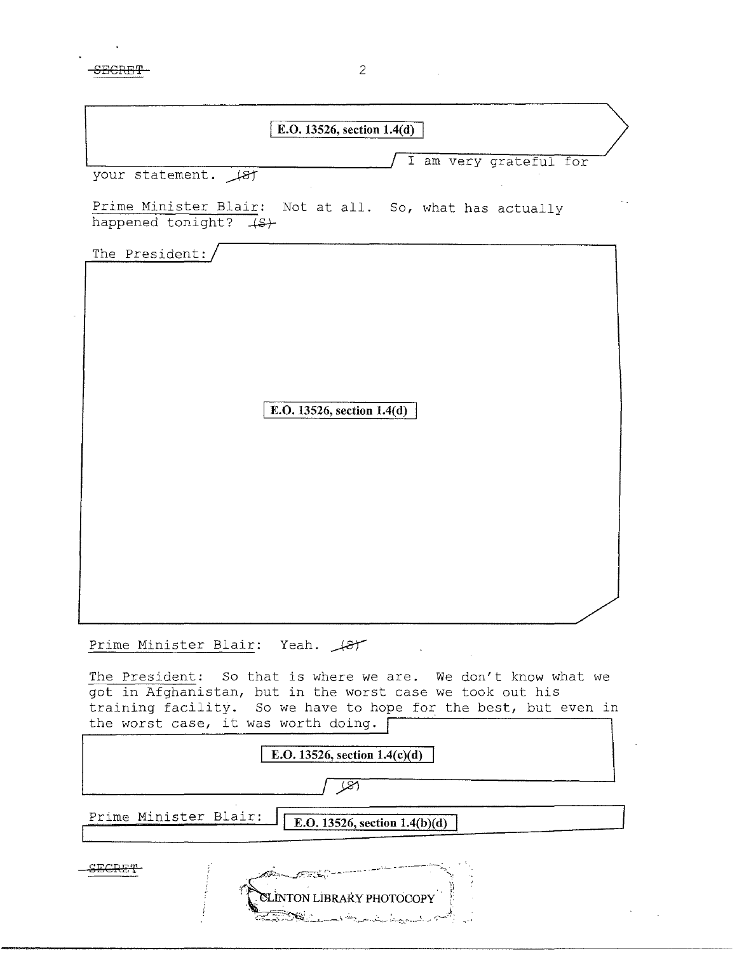| E.O. 13526, section 1.4(d)                                                                                                                                                                                                           |
|--------------------------------------------------------------------------------------------------------------------------------------------------------------------------------------------------------------------------------------|
| I am very grateful for                                                                                                                                                                                                               |
| your statement. (8)                                                                                                                                                                                                                  |
| Prime Minister Blair: Not at all. So, what has actually<br>happened tonight? (S)                                                                                                                                                     |
| The President:                                                                                                                                                                                                                       |
|                                                                                                                                                                                                                                      |
|                                                                                                                                                                                                                                      |
|                                                                                                                                                                                                                                      |
|                                                                                                                                                                                                                                      |
| E.O. 13526, section $1.4(d)$                                                                                                                                                                                                         |
|                                                                                                                                                                                                                                      |
|                                                                                                                                                                                                                                      |
|                                                                                                                                                                                                                                      |
|                                                                                                                                                                                                                                      |
|                                                                                                                                                                                                                                      |
|                                                                                                                                                                                                                                      |
|                                                                                                                                                                                                                                      |
| Prime Minister Blair: Yeah. (87                                                                                                                                                                                                      |
| The President: So that is where we are. We don't know what we<br>got in Afghanistan, but in the worst case we took out his<br>training facility. So we have to hope for the best, but even in<br>the worst case, it was worth doing. |
| E.O. 13526, section $1.4(c)(d)$                                                                                                                                                                                                      |
| (81                                                                                                                                                                                                                                  |
| Prime Minister Blair:<br>E.O. 13526, section 1.4(b)(d)                                                                                                                                                                               |
|                                                                                                                                                                                                                                      |
|                                                                                                                                                                                                                                      |
| <b>ELINTON LIBRARY PHOTOCOPY</b>                                                                                                                                                                                                     |

 $\overline{2}$